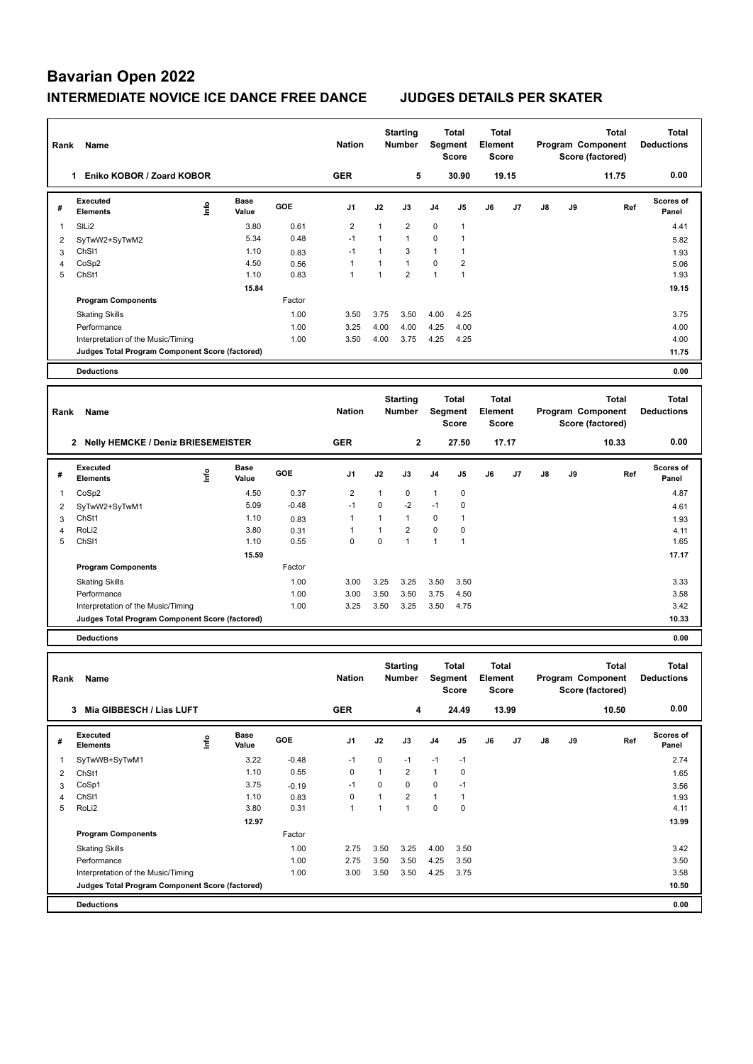# **Bavarian Open 2022 INTERMEDIATE NOVICE ICE DANCE FREE DANCE JUDGES DETAILS PER SKATER**

| Rank           | Name                                            |                                  |                      |            | <b>Nation</b>           |              | <b>Starting</b><br><b>Number</b> | Segment        | <b>Total</b><br><b>Score</b> | <b>Total</b><br>Element<br><b>Score</b>        |       |    |    | Program Component<br>Score (factored) | <b>Total</b> | <b>Total</b><br><b>Deductions</b> |
|----------------|-------------------------------------------------|----------------------------------|----------------------|------------|-------------------------|--------------|----------------------------------|----------------|------------------------------|------------------------------------------------|-------|----|----|---------------------------------------|--------------|-----------------------------------|
|                | 1 Eniko KOBOR / Zoard KOBOR                     |                                  |                      |            | <b>GER</b>              |              | 5                                |                | 30.90                        |                                                | 19.15 |    |    |                                       | 11.75        | 0.00                              |
| #              | <b>Executed</b><br><b>Elements</b>              | $\mathop{\mathsf{Int}}\nolimits$ | <b>Base</b><br>Value | <b>GOE</b> | J <sub>1</sub>          | J2           | J3                               | J <sub>4</sub> | J5                           | J6                                             | J7    | J8 | J9 |                                       | Ref          | Scores of<br>Panel                |
| 1              | SILi2                                           |                                  | 3.80                 | 0.61       | $\overline{\mathbf{c}}$ | 1            | 2                                | 0              | 1                            |                                                |       |    |    |                                       |              | 4.41                              |
| $\overline{2}$ | SyTwW2+SyTwM2                                   |                                  | 5.34                 | 0.48       | $-1$                    | $\mathbf{1}$ | $\mathbf{1}$                     | 0              | $\mathbf{1}$                 |                                                |       |    |    |                                       |              | 5.82                              |
| 3              | ChS <sub>11</sub>                               |                                  | 1.10                 | 0.83       | $-1$                    | $\mathbf{1}$ | 3                                | 1              | $\mathbf{1}$                 |                                                |       |    |    |                                       |              | 1.93                              |
| 4              | CoSp2                                           |                                  | 4.50                 | 0.56       | $\mathbf{1}$            | $\mathbf{1}$ | $\mathbf{1}$                     | 0              | $\overline{2}$               |                                                |       |    |    |                                       |              | 5.06                              |
| 5              | ChSt1                                           |                                  | 1.10                 | 0.83       | $\mathbf{1}$            | $\mathbf{1}$ | $\overline{2}$                   | $\mathbf{1}$   | $\mathbf{1}$                 |                                                |       |    |    |                                       |              | 1.93                              |
|                |                                                 |                                  | 15.84                |            |                         |              |                                  |                |                              |                                                |       |    |    |                                       |              | 19.15                             |
|                | <b>Program Components</b>                       |                                  |                      | Factor     |                         |              |                                  |                |                              |                                                |       |    |    |                                       |              |                                   |
|                | <b>Skating Skills</b>                           |                                  |                      | 1.00       | 3.50                    | 3.75         | 3.50                             | 4.00           | 4.25                         |                                                |       |    |    |                                       |              | 3.75                              |
|                | Performance                                     |                                  |                      | 1.00       | 3.25                    | 4.00         | 4.00                             | 4.25           | 4.00                         |                                                |       |    |    |                                       |              | 4.00                              |
|                | Interpretation of the Music/Timing              |                                  |                      | 1.00       | 3.50                    | 4.00         | 3.75                             | 4.25           | 4.25                         |                                                |       |    |    |                                       |              | 4.00                              |
|                | Judges Total Program Component Score (factored) |                                  |                      |            |                         |              |                                  |                |                              |                                                |       |    |    |                                       |              | 11.75                             |
|                | <b>Deductions</b>                               |                                  |                      |            |                         |              |                                  |                |                              |                                                |       |    |    |                                       |              | 0.00                              |
|                |                                                 |                                  |                      |            |                         |              |                                  |                |                              |                                                |       |    |    |                                       |              |                                   |
| Rank           | Name                                            |                                  |                      |            | <b>Nation</b>           |              | <b>Starting</b><br><b>Number</b> | Segment        | <b>Total</b><br><b>Score</b> | <b>Total</b><br><b>Element</b><br><b>Score</b> |       |    |    | Program Component<br>Score (factored) | <b>Total</b> | <b>Total</b><br><b>Deductions</b> |
|                | 2 Nelly HEMCKE / Deniz BRIESEMEISTER            |                                  |                      |            | <b>GER</b>              |              | $\overline{2}$                   |                | 27.50                        |                                                | 17.17 |    |    |                                       | 10.33        | 0.00                              |
| #              | <b>Executed</b><br><b>Elements</b>              | lnfo                             | <b>Base</b><br>Value | <b>GOE</b> | J1                      | J2           | J3                               | J4             | J5                           | J6                                             | J7    | J8 | J9 |                                       | Ref          | <b>Scores of</b><br>Panel         |
| 1              | CoSp2                                           |                                  | 4.50                 | 0.37       | $\overline{2}$          | 1            | 0                                | 1              | $\mathbf 0$                  |                                                |       |    |    |                                       |              | 4.87                              |
| $\overline{2}$ | SyTwW2+SyTwM1                                   |                                  | 5.09                 | $-0.48$    | $-1$                    | $\mathbf 0$  | $-2$                             | $-1$           | $\pmb{0}$                    |                                                |       |    |    |                                       |              | 4.61                              |
| 3              | ChSt1                                           |                                  | 1.10                 | 0.83       | $\mathbf{1}$            | $\mathbf{1}$ | $\mathbf{1}$                     | 0              | 1                            |                                                |       |    |    |                                       |              | 1.93                              |
| 4              | RoLi2                                           |                                  | 3.80                 | 0.31       | $\mathbf{1}$            | $\mathbf{1}$ | $\overline{2}$                   | 0              | $\pmb{0}$                    |                                                |       |    |    |                                       |              | 4.11                              |
| 5              | ChS <sub>11</sub>                               |                                  | 1.10                 | 0.55       | $\mathbf 0$             | $\mathbf 0$  | $\mathbf{1}$                     | $\mathbf{1}$   | $\mathbf{1}$                 |                                                |       |    |    |                                       |              | 1.65                              |
|                |                                                 |                                  | 15.59                |            |                         |              |                                  |                |                              |                                                |       |    |    |                                       |              | 17.17                             |
|                | <b>Program Components</b>                       |                                  |                      | Factor     |                         |              |                                  |                |                              |                                                |       |    |    |                                       |              |                                   |
|                | <b>Skating Skills</b>                           |                                  |                      | 1.00       | 3.00                    | 3.25         | 3.25                             | 3.50           | 3.50                         |                                                |       |    |    |                                       |              | 3.33                              |
|                | Performance                                     |                                  |                      | 1.00       | 3.00                    | 3.50         | 3.50                             | 3.75           | 4.50                         |                                                |       |    |    |                                       |              | 3.58                              |
|                | Interpretation of the Music/Timing              |                                  |                      | 1.00       | 3.25                    | 3.50         | 3.25                             | 3.50           | 4.75                         |                                                |       |    |    |                                       |              | 3.42                              |
|                | Judges Total Program Component Score (factored) |                                  |                      |            |                         |              |                                  |                |                              |                                                |       |    |    |                                       |              | 10.33                             |
|                | <b>Deductions</b>                               |                                  |                      |            |                         |              |                                  |                |                              |                                                |       |    |    |                                       |              | 0.00                              |
|                |                                                 |                                  |                      |            |                         |              |                                  |                |                              |                                                |       |    |    |                                       |              |                                   |
| Rank           | Name                                            |                                  |                      |            | <b>Nation</b>           |              | <b>Starting</b><br><b>Number</b> | Segment        | <b>Total</b>                 | <b>Total</b><br>Element                        |       |    |    | Program Component                     | <b>Total</b> | <b>Total</b><br><b>Deductions</b> |

| Rank | Name                                            |   |                      |            | <b>Nation</b>  |          | Number<br>Segment<br>Score |                |       | Element<br><b>Score</b> |       | Program Component<br>Score (factored) |    |       | <b>Deductions</b>         |
|------|-------------------------------------------------|---|----------------------|------------|----------------|----------|----------------------------|----------------|-------|-------------------------|-------|---------------------------------------|----|-------|---------------------------|
|      | Mia GIBBESCH / Lias LUFT<br>3                   |   |                      |            | <b>GER</b>     |          | 4                          |                | 24.49 |                         | 13.99 |                                       |    | 10.50 | 0.00                      |
| #    | Executed<br><b>Elements</b>                     | ۴ | <b>Base</b><br>Value | <b>GOE</b> | J <sub>1</sub> | J2       | J3                         | J <sub>4</sub> | J5    | J6                      | J7    | $\mathsf{J}8$                         | J9 | Ref   | <b>Scores of</b><br>Panel |
|      | SyTwWB+SyTwM1                                   |   | 3.22                 | $-0.48$    | $-1$           | 0        | $-1$                       | $-1$           | $-1$  |                         |       |                                       |    |       | 2.74                      |
| 2    | ChSt1                                           |   | 1.10                 | 0.55       | 0              | 1        | $\overline{2}$             | 1              | 0     |                         |       |                                       |    |       | 1.65                      |
| 3    | CoSp1                                           |   | 3.75                 | $-0.19$    | $-1$           | $\Omega$ | $\mathbf 0$                | 0              | $-1$  |                         |       |                                       |    |       | 3.56                      |
| 4    | ChS <sub>11</sub>                               |   | 1.10                 | 0.83       | 0              |          | $\overline{2}$             | $\overline{1}$ | 1     |                         |       |                                       |    |       | 1.93                      |
| 5    | RoLi2                                           |   | 3.80                 | 0.31       | 1              |          | 1                          | 0              | 0     |                         |       |                                       |    |       | 4.11                      |
|      |                                                 |   | 12.97                |            |                |          |                            |                |       |                         |       |                                       |    |       | 13.99                     |
|      | <b>Program Components</b>                       |   |                      | Factor     |                |          |                            |                |       |                         |       |                                       |    |       |                           |
|      | <b>Skating Skills</b>                           |   |                      | 1.00       | 2.75           | 3.50     | 3.25                       | 4.00           | 3.50  |                         |       |                                       |    |       | 3.42                      |
|      | Performance                                     |   |                      | 1.00       | 2.75           | 3.50     | 3.50                       | 4.25           | 3.50  |                         |       |                                       |    |       | 3.50                      |
|      | Interpretation of the Music/Timing              |   |                      | 1.00       | 3.00           | 3.50     | 3.50                       | 4.25           | 3.75  |                         |       |                                       |    |       | 3.58                      |
|      | Judges Total Program Component Score (factored) |   |                      |            |                |          |                            |                |       |                         |       |                                       |    |       | 10.50                     |
|      | <b>Deductions</b>                               |   |                      |            |                |          |                            |                |       |                         |       |                                       |    |       | 0.00                      |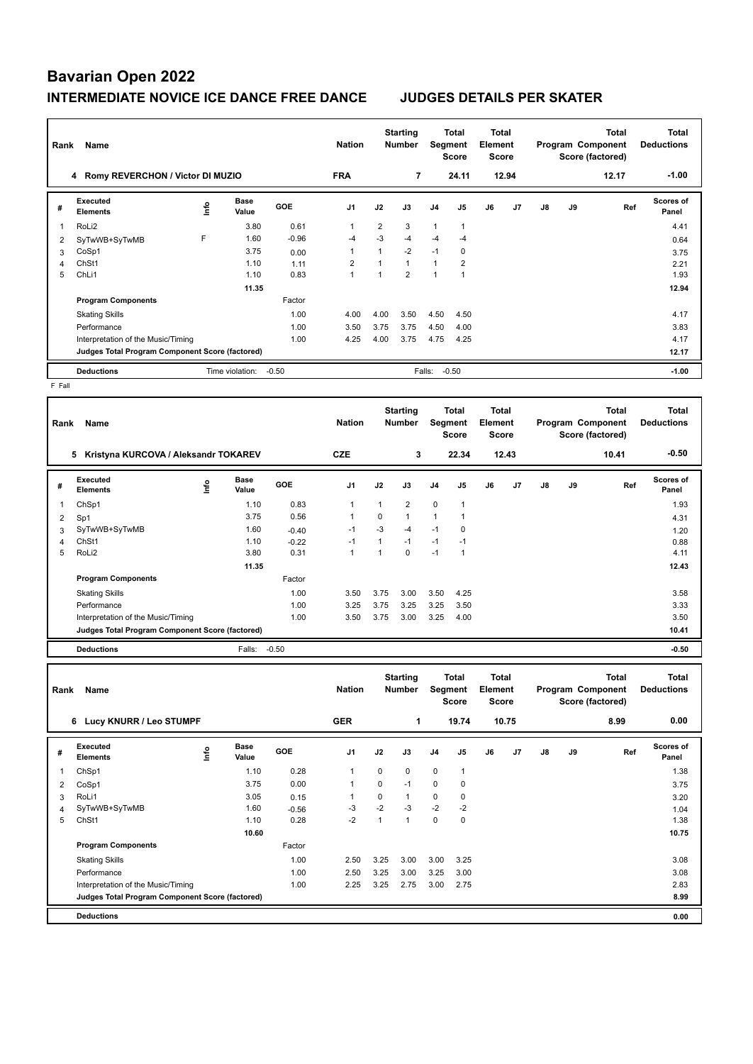# **Bavarian Open 2022 INTERMEDIATE NOVICE ICE DANCE FREE DANCE JUDGES DETAILS PER SKATER**

| Rank            | Name                                            |                                  |                      |            | <b>Nation</b>  |                | <b>Starting</b><br><b>Number</b> | Segment        | Total<br><b>Score</b> | Total<br>Element<br><b>Score</b> |       |               |    | Total<br>Program Component<br>Score (factored) | Total<br><b>Deductions</b> |
|-----------------|-------------------------------------------------|----------------------------------|----------------------|------------|----------------|----------------|----------------------------------|----------------|-----------------------|----------------------------------|-------|---------------|----|------------------------------------------------|----------------------------|
|                 | 4 Romy REVERCHON / Victor DI MUZIO              |                                  |                      |            |                |                | 7                                |                | 24.11                 |                                  | 12.94 |               |    | 12.17                                          | $-1.00$                    |
| #               | Executed<br><b>Elements</b>                     | $\mathop{\mathsf{Irr}}\nolimits$ | <b>Base</b><br>Value | <b>GOE</b> | J <sub>1</sub> | J2             | J3                               | J <sub>4</sub> | J <sub>5</sub>        | J6                               | J7    | $\mathsf{J}8$ | J9 | Ref                                            | <b>Scores of</b><br>Panel  |
| 1               | RoLi <sub>2</sub>                               |                                  | 3.80                 | 0.61       | 1              | $\overline{2}$ | 3                                | 1              | $\mathbf{1}$          |                                  |       |               |    |                                                | 4.41                       |
| 2               | SyTwWB+SyTwMB                                   | F                                | 1.60                 | $-0.96$    | -4             | $-3$           | $-4$                             | $-4$           | $-4$                  |                                  |       |               |    |                                                | 0.64                       |
| 3               | CoSp1                                           |                                  | 3.75                 | 0.00       | 1              |                | $-2$                             | $-1$           | 0                     |                                  |       |               |    |                                                | 3.75                       |
| 4               | ChSt1                                           |                                  | 1.10                 | 1.11       | 2              |                | $\mathbf{1}$                     | $\mathbf{1}$   | $\overline{2}$        |                                  |       |               |    |                                                | 2.21                       |
| 5               | ChL <sub>i1</sub>                               |                                  | 1.10                 | 0.83       | 1              |                | $\overline{2}$                   | 1              |                       |                                  |       |               |    |                                                | 1.93                       |
|                 |                                                 |                                  | 11.35                |            |                |                |                                  |                |                       |                                  |       |               |    |                                                | 12.94                      |
|                 | <b>Program Components</b>                       |                                  |                      | Factor     |                |                |                                  |                |                       |                                  |       |               |    |                                                |                            |
|                 | <b>Skating Skills</b>                           |                                  |                      | 1.00       | 4.00           | 4.00           | 3.50                             | 4.50           | 4.50                  |                                  |       |               |    |                                                | 4.17                       |
|                 | Performance                                     |                                  |                      | 1.00       | 3.50           | 3.75           | 3.75                             | 4.50           | 4.00                  |                                  |       |               |    |                                                | 3.83                       |
|                 | Interpretation of the Music/Timing              |                                  |                      | 1.00       | 4.25           | 4.00           | 3.75                             | 4.75           | 4.25                  |                                  |       |               |    |                                                | 4.17                       |
|                 | Judges Total Program Component Score (factored) |                                  |                      |            |                |                |                                  |                |                       |                                  |       |               |    |                                                | 12.17                      |
| $F = F \cdot H$ | <b>Deductions</b>                               |                                  | Time violation:      | $-0.50$    |                |                |                                  | Falls:         | $-0.50$               |                                  |       |               |    |                                                | $-1.00$                    |

F Fall

| Rank           | Name                                            |      |               |            | <b>Nation</b>  |              | <b>Starting</b><br><b>Number</b> | Segment        | <b>Total</b><br><b>Score</b> | Total<br><b>Element</b><br><b>Score</b> |       |    |    | <b>Total</b><br>Program Component<br>Score (factored) | <b>Total</b><br><b>Deductions</b> |
|----------------|-------------------------------------------------|------|---------------|------------|----------------|--------------|----------------------------------|----------------|------------------------------|-----------------------------------------|-------|----|----|-------------------------------------------------------|-----------------------------------|
|                | Kristyna KURCOVA / Aleksandr TOKAREV<br>5       |      |               |            | <b>CZE</b>     |              | 3                                |                | 22.34                        |                                         | 12.43 |    |    | 10.41                                                 | $-0.50$                           |
| #              | Executed<br><b>Elements</b>                     | lnfo | Base<br>Value | <b>GOE</b> | J <sub>1</sub> | J2           | J3                               | J <sub>4</sub> | J5                           | J6                                      | J7    | J8 | J9 | Ref                                                   | <b>Scores of</b><br>Panel         |
|                | ChSp1                                           |      | 1.10          | 0.83       | 1              | 1            | $\overline{2}$                   | $\mathbf 0$    | $\overline{1}$               |                                         |       |    |    |                                                       | 1.93                              |
| 2              | Sp1                                             |      | 3.75          | 0.56       | 1              | $\Omega$     | $\mathbf{1}$                     | 1              | 1                            |                                         |       |    |    |                                                       | 4.31                              |
| 3              | SyTwWB+SyTwMB                                   |      | 1.60          | $-0.40$    | $-1$           | $-3$         | $-4$                             | $-1$           | 0                            |                                         |       |    |    |                                                       | 1.20                              |
| $\overline{4}$ | ChSt1                                           |      | 1.10          | $-0.22$    | $-1$           | $\mathbf{1}$ | $-1$                             | $-1$           | $-1$                         |                                         |       |    |    |                                                       | 0.88                              |
| 5              | RoLi <sub>2</sub>                               |      | 3.80          | 0.31       | 1              |              | $\mathbf 0$                      | $-1$           | $\overline{1}$               |                                         |       |    |    |                                                       | 4.11                              |
|                |                                                 |      | 11.35         |            |                |              |                                  |                |                              |                                         |       |    |    |                                                       | 12.43                             |
|                | <b>Program Components</b>                       |      |               | Factor     |                |              |                                  |                |                              |                                         |       |    |    |                                                       |                                   |
|                | <b>Skating Skills</b>                           |      |               | 1.00       | 3.50           | 3.75         | 3.00                             | 3.50           | 4.25                         |                                         |       |    |    |                                                       | 3.58                              |
|                | Performance                                     |      |               | 1.00       | 3.25           | 3.75         | 3.25                             | 3.25           | 3.50                         |                                         |       |    |    |                                                       | 3.33                              |
|                | Interpretation of the Music/Timing              |      |               | 1.00       | 3.50           | 3.75         | 3.00                             | 3.25           | 4.00                         |                                         |       |    |    |                                                       | 3.50                              |
|                | Judges Total Program Component Score (factored) |      |               |            |                |              |                                  |                |                              |                                         |       |    |    |                                                       | 10.41                             |
|                | <b>Deductions</b>                               |      | Falls:        | $-0.50$    |                |              |                                  |                |                              |                                         |       |    |    |                                                       | $-0.50$                           |

| Rank | Name                                            |      |                      |            | <b>Nation</b>  |              | <b>Starting</b><br><b>Number</b> | Segment        | <b>Total</b><br><b>Score</b> | Total<br>Element<br><b>Score</b> |       |    |    | <b>Total</b><br>Program Component<br>Score (factored) | <b>Total</b><br><b>Deductions</b> |
|------|-------------------------------------------------|------|----------------------|------------|----------------|--------------|----------------------------------|----------------|------------------------------|----------------------------------|-------|----|----|-------------------------------------------------------|-----------------------------------|
|      | Lucy KNURR / Leo STUMPF<br>6.                   |      |                      |            | <b>GER</b>     |              | 1                                |                | 19.74                        |                                  | 10.75 |    |    | 8.99                                                  | 0.00                              |
| #    | <b>Executed</b><br><b>Elements</b>              | ١nf٥ | <b>Base</b><br>Value | <b>GOE</b> | J <sub>1</sub> | J2           | J3                               | J <sub>4</sub> | J5                           | J6                               | J7    | J8 | J9 | Ref                                                   | <b>Scores of</b><br>Panel         |
| 1    | ChSp1                                           |      | 1.10                 | 0.28       |                | 0            | $\mathbf 0$                      | $\mathbf 0$    | $\mathbf{1}$                 |                                  |       |    |    |                                                       | 1.38                              |
| 2    | CoSp1                                           |      | 3.75                 | 0.00       |                | 0            | $-1$                             | 0              | 0                            |                                  |       |    |    |                                                       | 3.75                              |
| 3    | RoLi1                                           |      | 3.05                 | 0.15       |                | 0            | $\mathbf{1}$                     | $\pmb{0}$      | 0                            |                                  |       |    |    |                                                       | 3.20                              |
| 4    | SyTwWB+SyTwMB                                   |      | 1.60                 | $-0.56$    | $-3$           | $-2$         | $-3$                             | $-2$           | $-2$                         |                                  |       |    |    |                                                       | 1.04                              |
| 5    | ChSt1                                           |      | 1.10                 | 0.28       | $-2$           | $\mathbf{1}$ | 1                                | 0              | 0                            |                                  |       |    |    |                                                       | 1.38                              |
|      |                                                 |      | 10.60                |            |                |              |                                  |                |                              |                                  |       |    |    |                                                       | 10.75                             |
|      | <b>Program Components</b>                       |      |                      | Factor     |                |              |                                  |                |                              |                                  |       |    |    |                                                       |                                   |
|      | <b>Skating Skills</b>                           |      |                      | 1.00       | 2.50           | 3.25         | 3.00                             | 3.00           | 3.25                         |                                  |       |    |    |                                                       | 3.08                              |
|      | Performance                                     |      |                      | 1.00       | 2.50           | 3.25         | 3.00                             | 3.25           | 3.00                         |                                  |       |    |    |                                                       | 3.08                              |
|      | Interpretation of the Music/Timing              |      |                      | 1.00       | 2.25           | 3.25         | 2.75                             | 3.00           | 2.75                         |                                  |       |    |    |                                                       | 2.83                              |
|      | Judges Total Program Component Score (factored) |      |                      |            |                |              |                                  |                |                              |                                  |       |    |    |                                                       | 8.99                              |
|      | <b>Deductions</b>                               |      |                      |            |                |              |                                  |                |                              |                                  |       |    |    |                                                       | 0.00                              |